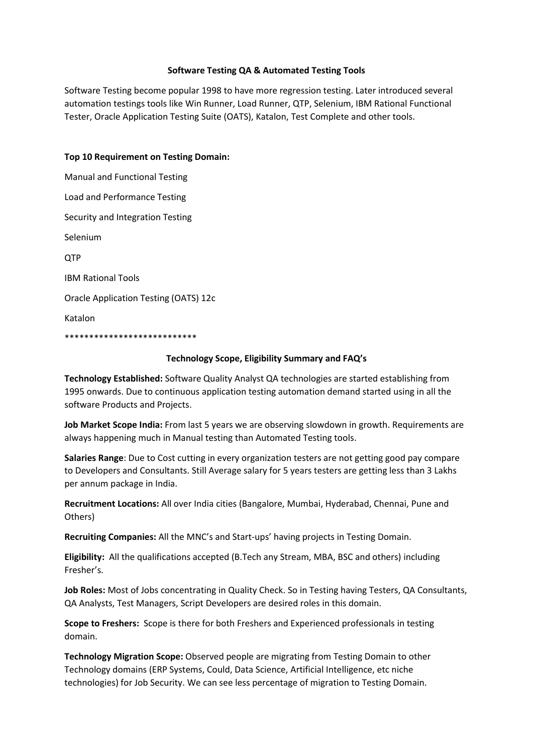## **Software Testing QA & Automated Testing Tools**

Software Testing become popular 1998 to have more regression testing. Later introduced several automation testings tools like Win Runner, Load Runner, QTP, Selenium, IBM Rational Functional Tester, Oracle Application Testing Suite (OATS), Katalon, Test Complete and other tools.

## **Top 10 Requirement on Testing Domain:**

Manual and Functional Testing Load and Performance Testing Security and Integration Testing Selenium QTP IBM Rational Tools Oracle Application Testing (OATS) 12c Katalon \*\*\*\*\*\*\*\*\*\*\*\*\*\*\*\*\*\*\*\*\*\*\*\*\*\*\*

## **Technology Scope, Eligibility Summary and FAQ's**

**Technology Established:** Software Quality Analyst QA technologies are started establishing from 1995 onwards. Due to continuous application testing automation demand started using in all the software Products and Projects.

**Job Market Scope India:** From last 5 years we are observing slowdown in growth. Requirements are always happening much in Manual testing than Automated Testing tools.

**Salaries Range**: Due to Cost cutting in every organization testers are not getting good pay compare to Developers and Consultants. Still Average salary for 5 years testers are getting less than 3 Lakhs per annum package in India.

**Recruitment Locations:** All over India cities (Bangalore, Mumbai, Hyderabad, Chennai, Pune and Others)

**Recruiting Companies:** All the MNC's and Start-ups' having projects in Testing Domain.

**Eligibility:** All the qualifications accepted (B.Tech any Stream, MBA, BSC and others) including Fresher's.

**Job Roles:** Most of Jobs concentrating in Quality Check. So in Testing having Testers, QA Consultants, QA Analysts, Test Managers, Script Developers are desired roles in this domain.

**Scope to Freshers:** Scope is there for both Freshers and Experienced professionals in testing domain.

**Technology Migration Scope:** Observed people are migrating from Testing Domain to other Technology domains (ERP Systems, Could, Data Science, Artificial Intelligence, etc niche technologies) for Job Security. We can see less percentage of migration to Testing Domain.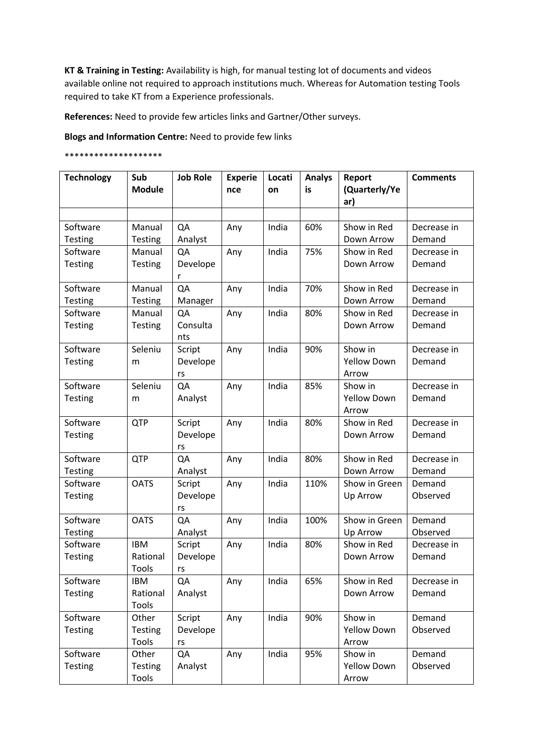**KT & Training in Testing:** Availability is high, for manual testing lot of documents and videos available online not required to approach institutions much. Whereas for Automation testing Tools required to take KT from a Experience professionals.

**References:** Need to provide few articles links and Gartner/Other surveys.

**Blogs and Information Centre:** Need to provide few links

## \*\*\*\*\*\*\*\*\*\*\*\*\*\*\*\*\*\*\*\*

| <b>Technology</b> | Sub<br><b>Module</b> | <b>Job Role</b> | <b>Experie</b><br>nce | Locati<br>on | <b>Analys</b><br>is | Report<br>(Quarterly/Ye<br>ar) | <b>Comments</b> |
|-------------------|----------------------|-----------------|-----------------------|--------------|---------------------|--------------------------------|-----------------|
|                   |                      |                 |                       |              |                     |                                |                 |
| Software          | Manual               | QA              | Any                   | India        | 60%                 | Show in Red                    | Decrease in     |
| Testing           | <b>Testing</b>       | Analyst         |                       |              |                     | Down Arrow                     | Demand          |
| Software          | Manual               | QA              | Any                   | India        | 75%                 | Show in Red                    | Decrease in     |
| Testing           | Testing              | Develope<br>r   |                       |              |                     | Down Arrow                     | Demand          |
| Software          | Manual               | QA              | Any                   | India        | 70%                 | Show in Red                    | Decrease in     |
| <b>Testing</b>    | Testing              | Manager         |                       |              |                     | Down Arrow                     | Demand          |
| Software          | Manual               | QA              | Any                   | India        | 80%                 | Show in Red                    | Decrease in     |
| Testing           | <b>Testing</b>       | Consulta<br>nts |                       |              |                     | Down Arrow                     | Demand          |
| Software          | Seleniu              | Script          | Any                   | India        | 90%                 | Show in                        | Decrease in     |
| Testing           | m                    | Develope        |                       |              |                     | <b>Yellow Down</b>             | Demand          |
|                   |                      | rs              |                       |              |                     | Arrow                          |                 |
| Software          | Seleniu              | QA              | Any                   | India        | 85%                 | Show in                        | Decrease in     |
| Testing           | m                    | Analyst         |                       |              |                     | <b>Yellow Down</b><br>Arrow    | Demand          |
| Software          | <b>QTP</b>           | Script          | Any                   | India        | 80%                 | Show in Red                    | Decrease in     |
| <b>Testing</b>    |                      | Develope<br>rs  |                       |              |                     | Down Arrow                     | Demand          |
| Software          | <b>QTP</b>           | QA              | Any                   | India        | 80%                 | Show in Red                    | Decrease in     |
| <b>Testing</b>    |                      | Analyst         |                       |              |                     | Down Arrow                     | Demand          |
| Software          | <b>OATS</b>          | Script          | Any                   | India        | 110%                | Show in Green                  | Demand          |
| Testing           |                      | Develope<br>rs  |                       |              |                     | Up Arrow                       | Observed        |
| Software          | <b>OATS</b>          | QA              | Any                   | India        | 100%                | Show in Green                  | Demand          |
| Testing           |                      | Analyst         |                       |              |                     | Up Arrow                       | Observed        |
| Software          | <b>IBM</b>           | Script          | Any                   | India        | 80%                 | Show in Red                    | Decrease in     |
| <b>Testing</b>    | Rational             | Develope        |                       |              |                     | Down Arrow                     | Demand          |
|                   | Tools                | rs              |                       |              |                     |                                |                 |
| Software          | <b>IBM</b>           | QA              | Any                   | India        | 65%                 | Show in Red                    | Decrease in     |
| <b>Testing</b>    | Rational             | Analyst         |                       |              |                     | Down Arrow                     | Demand          |
|                   | Tools                |                 |                       |              |                     |                                |                 |
| Software          | Other                | Script          | Any                   | India        | 90%                 | Show in                        | Demand          |
| Testing           | <b>Testing</b>       | Develope        |                       |              |                     | <b>Yellow Down</b>             | Observed        |
|                   | Tools                | rs              |                       |              |                     | Arrow                          |                 |
| Software          | Other                | QA              | Any                   | India        | 95%                 | Show in                        | Demand          |
| Testing           | <b>Testing</b>       | Analyst         |                       |              |                     | <b>Yellow Down</b>             | Observed        |
|                   | Tools                |                 |                       |              |                     | Arrow                          |                 |